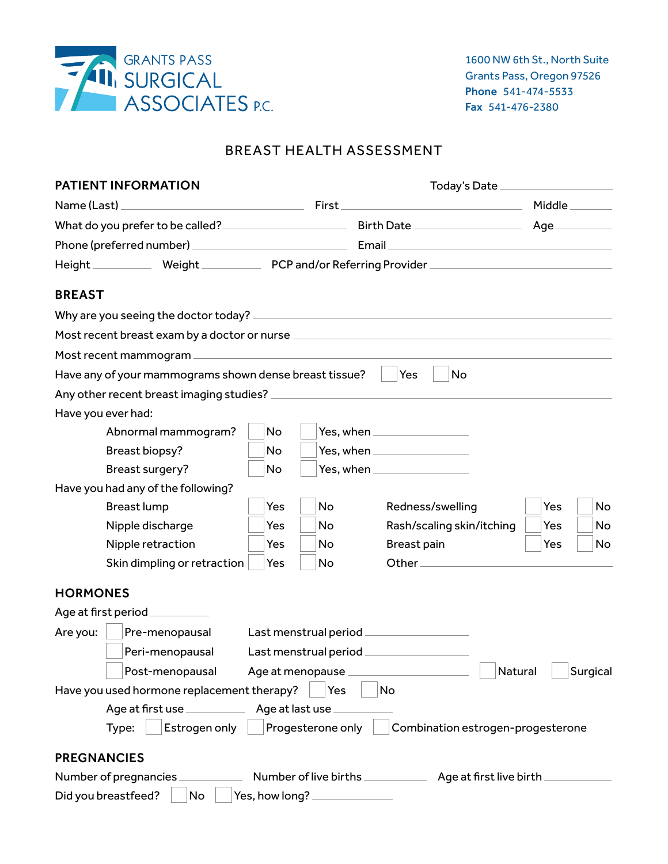

# BREAST HEALTH ASSESSMENT

| <b>PATIENT INFORMATION</b>                                  |     | Today's Date _____________________ |                                           |           |
|-------------------------------------------------------------|-----|------------------------------------|-------------------------------------------|-----------|
| Name (Last)                                                 |     |                                    |                                           |           |
|                                                             |     |                                    |                                           |           |
|                                                             |     |                                    |                                           |           |
|                                                             |     |                                    |                                           |           |
| <b>BREAST</b>                                               |     |                                    |                                           |           |
|                                                             |     |                                    |                                           |           |
|                                                             |     |                                    |                                           |           |
|                                                             |     |                                    |                                           |           |
| Have any of your mammograms shown dense breast tissue?      |     |                                    | Yes<br>No                                 |           |
|                                                             |     |                                    |                                           |           |
| Have you ever had:                                          |     |                                    |                                           |           |
| Abnormal mammogram?                                         | No  |                                    |                                           |           |
| Breast biopsy?                                              | No  |                                    | Yes, when ___________________             |           |
| Breast surgery?                                             | No  |                                    | Yes, when ____________________            |           |
| Have you had any of the following?                          |     |                                    |                                           |           |
| <b>Breast lump</b>                                          | Yes | <b>No</b>                          | Redness/swelling                          | Yes<br>No |
| Nipple discharge                                            | Yes | No                                 | Rash/scaling skin/itching                 | Yes<br>No |
| Nipple retraction                                           | Yes | No                                 | Breast pain                               | Yes<br>No |
| Skin dimpling or retraction                                 | Yes | No                                 |                                           |           |
| <b>HORMONES</b>                                             |     |                                    |                                           |           |
| Age at first period __________                              |     |                                    |                                           |           |
| Are you:<br>Pre-menopausal                                  |     |                                    | Last menstrual period ___________________ |           |
| Peri-menopausal                                             |     |                                    |                                           |           |
| Post-menopausal<br>Age at menopause.<br>Natural<br>Surgical |     |                                    |                                           |           |
| Have you used hormone replacement therapy?                  |     | Yes                                | No                                        |           |
| Age at first use _______________ Age at last use            |     |                                    |                                           |           |
| Estrogen only<br>Type:                                      |     | Progesterone only                  | Combination estrogen-progesterone         |           |
| <b>PREGNANCIES</b>                                          |     |                                    |                                           |           |
| Number of pregnancies                                       |     |                                    |                                           |           |
| Did you breastfeed?<br>No                                   |     | Yes, how long? ______________      |                                           |           |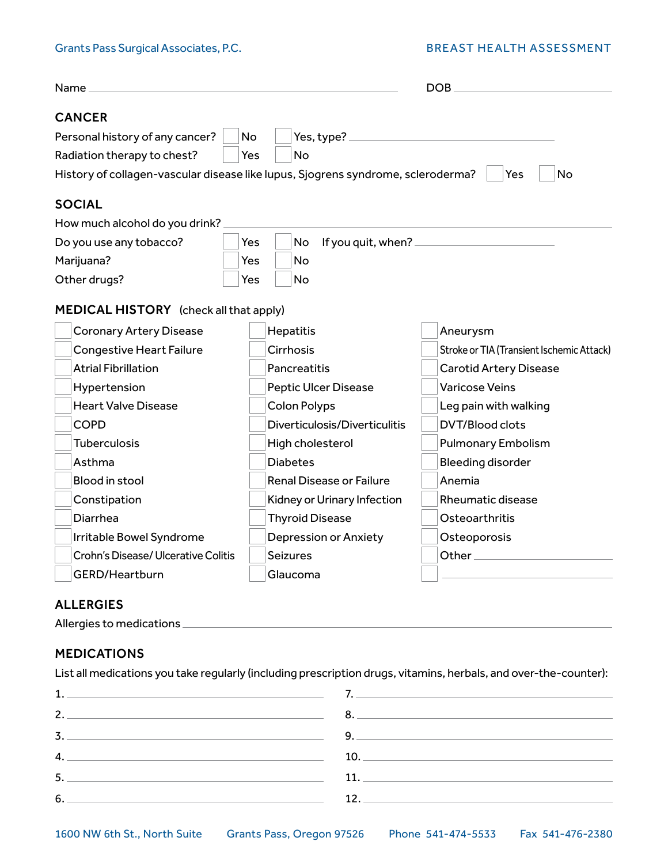## Grants Pass Surgical Associates, P.C. BREAST HEALTH ASSESSMENT

| Name <sub>-</sub>                                                                | DOB.                                                    |                                           |  |  |
|----------------------------------------------------------------------------------|---------------------------------------------------------|-------------------------------------------|--|--|
| <b>CANCER</b>                                                                    |                                                         |                                           |  |  |
| Personal history of any cancer?<br>No                                            |                                                         |                                           |  |  |
| Radiation therapy to chest?                                                      | No<br>Yes                                               |                                           |  |  |
| History of collagen-vascular disease like lupus, Sjogrens syndrome, scleroderma? |                                                         | No<br>Yes                                 |  |  |
| <b>SOCIAL</b>                                                                    |                                                         |                                           |  |  |
| How much alcohol do you drink?                                                   |                                                         |                                           |  |  |
| Do you use any tobacco?                                                          | No<br>Yes                                               |                                           |  |  |
| Marijuana?                                                                       | <b>No</b><br>Yes                                        |                                           |  |  |
| Other drugs?                                                                     | <b>No</b><br>Yes                                        |                                           |  |  |
|                                                                                  |                                                         |                                           |  |  |
| <b>MEDICAL HISTORY</b> (check all that apply)                                    |                                                         |                                           |  |  |
| <b>Coronary Artery Disease</b>                                                   | Hepatitis                                               | Aneurysm                                  |  |  |
| <b>Congestive Heart Failure</b>                                                  | Cirrhosis                                               | Stroke or TIA (Transient Ischemic Attack) |  |  |
| <b>Atrial Fibrillation</b>                                                       | Pancreatitis                                            | <b>Carotid Artery Disease</b>             |  |  |
| Hypertension                                                                     | <b>Peptic Ulcer Disease</b>                             | <b>Varicose Veins</b>                     |  |  |
| <b>Heart Valve Disease</b>                                                       | <b>Colon Polyps</b>                                     | Leg pain with walking                     |  |  |
| <b>COPD</b>                                                                      | Diverticulosis/Diverticulitis                           | <b>DVT/Blood clots</b>                    |  |  |
| <b>Tuberculosis</b>                                                              | High cholesterol                                        | <b>Pulmonary Embolism</b>                 |  |  |
| Asthma                                                                           | <b>Diabetes</b>                                         | <b>Bleeding disorder</b>                  |  |  |
| Blood in stool                                                                   | <b>Renal Disease or Failure</b><br>Anemia               |                                           |  |  |
| Constipation                                                                     | <b>Rheumatic disease</b><br>Kidney or Urinary Infection |                                           |  |  |
| Diarrhea                                                                         | <b>Thyroid Disease</b><br>Osteoarthritis                |                                           |  |  |
| Irritable Bowel Syndrome                                                         | Depression or Anxiety<br>Osteoporosis                   |                                           |  |  |
| Crohn's Disease/ Ulcerative Colitis                                              | <b>Seizures</b>                                         |                                           |  |  |
| GERD/Heartburn                                                                   | Glaucoma                                                |                                           |  |  |
|                                                                                  |                                                         |                                           |  |  |
| <b>ALLERGIES</b>                                                                 |                                                         |                                           |  |  |
| Allergies to medications                                                         |                                                         |                                           |  |  |

# MEDICATIONS

List all medications you take regularly (including prescription drugs, vitamins, herbals, and over-the-counter):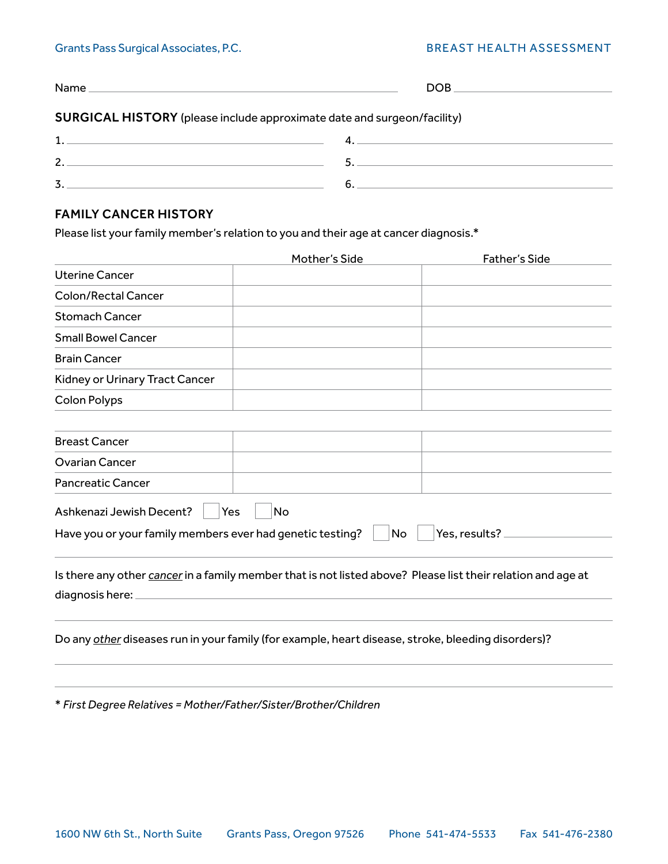## Grants Pass Surgical Associates, P.C. Some BREAST HEALTH ASSESSMENT

| <b>SURGICAL HISTORY</b> (please include approximate date and surgeon/facility) |                 |
|--------------------------------------------------------------------------------|-----------------|
|                                                                                | $\mathcal{A}$ . |
| 2.                                                                             |                 |
| 3.                                                                             | 6.              |

# FAMILY CANCER HISTORY

Please list your family member's relation to you and their age at cancer diagnosis.\*

|                                                           | Mother's Side                                                                                                | <b>Father's Side</b> |
|-----------------------------------------------------------|--------------------------------------------------------------------------------------------------------------|----------------------|
| <b>Uterine Cancer</b>                                     |                                                                                                              |                      |
| <b>Colon/Rectal Cancer</b>                                |                                                                                                              |                      |
| <b>Stomach Cancer</b>                                     |                                                                                                              |                      |
| <b>Small Bowel Cancer</b>                                 |                                                                                                              |                      |
| <b>Brain Cancer</b>                                       |                                                                                                              |                      |
| Kidney or Urinary Tract Cancer                            |                                                                                                              |                      |
| <b>Colon Polyps</b>                                       |                                                                                                              |                      |
| <b>Breast Cancer</b>                                      |                                                                                                              |                      |
| <b>Ovarian Cancer</b>                                     |                                                                                                              |                      |
| <b>Pancreatic Cancer</b>                                  |                                                                                                              |                      |
| Ashkenazi Jewish Decent?                                  | No<br>Yes                                                                                                    |                      |
| Have you or your family members ever had genetic testing? | <b>No</b>                                                                                                    | Yes. results?        |
| diagnosis here:                                           | Is there any other cancer in a family member that is not listed above? Please list their relation and age at |                      |
|                                                           | Do any other diseases run in your family (for example, heart disease, stroke, bleeding disorders)?           |                      |
|                                                           |                                                                                                              |                      |

\* *First Degree Relatives = Mother/Father/Sister/Brother/Children*